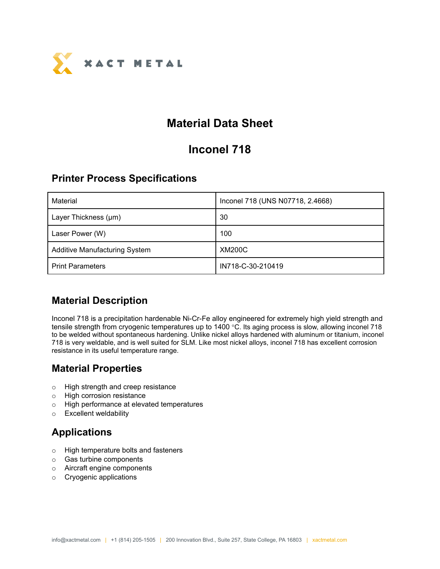

# **Material Data Sheet**

# **Inconel 718**

#### **Printer Process Specifications**

| Material                             | Inconel 718 (UNS N07718, 2.4668) |
|--------------------------------------|----------------------------------|
| Layer Thickness (µm)                 | 30                               |
| Laser Power (W)                      | 100                              |
| <b>Additive Manufacturing System</b> | <b>XM200C</b>                    |
| <b>Print Parameters</b>              | IN718-C-30-210419                |

## **Material Description**

Inconel 718 is a precipitation hardenable Ni-Cr-Fe alloy engineered for extremely high yield strength and tensile strength from cryogenic temperatures up to 1400 °C. Its aging process is slow, allowing inconel 718 to be welded without spontaneous hardening. Unlike nickel alloys hardened with aluminum or titanium, inconel 718 is very weldable, and is well suited for SLM. Like most nickel alloys, inconel 718 has excellent corrosion resistance in its useful temperature range.

## **Material Properties**

- o High strength and creep resistance
- o High corrosion resistance
- o High performance at elevated temperatures
- o Excellent weldability

# **Applications**

- o High temperature bolts and fasteners
- o Gas turbine components
- o Aircraft engine components
- o Cryogenic applications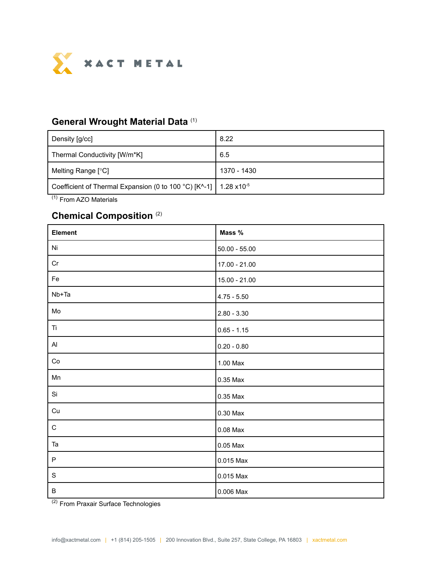

#### **General Wrought Material Data** (1)

| Density [g/cc]                                                                                       | 8.22        |
|------------------------------------------------------------------------------------------------------|-------------|
| Thermal Conductivity [W/m*K]                                                                         | 6.5         |
| Melting Range [°C]                                                                                   | 1370 - 1430 |
| Coefficient of Thermal Expansion (0 to 100 °C) [K^-1]   1.28 $\times$ 10 <sup>-5</sup><br>$\sqrt{4}$ |             |

(1) From AZO Materials

#### **Chemical Composition** (2)

| Element       | Mass %          |
|---------------|-----------------|
| Ni            | $50.00 - 55.00$ |
| Cr            | $17.00 - 21.00$ |
| Fe            | $15.00 - 21.00$ |
| Nb+Ta         | $4.75 - 5.50$   |
| Mo            | $2.80 - 3.30$   |
| Ti            | $0.65 - 1.15$   |
| Al            | $0.20 - 0.80$   |
| Co            | 1.00 Max        |
| Mn            | 0.35 Max        |
| Si            | 0.35 Max        |
| Cu            | 0.30 Max        |
| $\mathsf C$   | $0.08$ Max      |
| Ta            | 0.05 Max        |
| $\mathsf P$   | 0.015 Max       |
| ${\mathsf S}$ | 0.015 Max       |
| $\sf B$       | 0.006 Max       |

<sup>(2)</sup> From Praxair Surface Technologies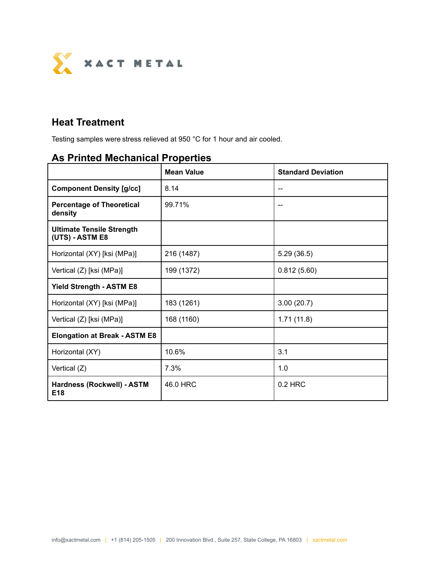

# **Heat Treatment**

Testing samples were stress relieved at 950 °C for 1 hour and air cooled.

# **As Printed Mechanical Properties**

|                                                     | <b>Mean Value</b> | <b>Standard Deviation</b> |  |
|-----------------------------------------------------|-------------------|---------------------------|--|
| <b>Component Density [g/cc]</b>                     | 8.14              |                           |  |
| <b>Percentage of Theoretical</b><br>density         | 99.71%            |                           |  |
| <b>Ultimate Tensile Strength</b><br>(UTS) - ASTM E8 |                   |                           |  |
| Horizontal (XY) [ksi (MPa)]                         | 216 (1487)        | 5.29(36.5)                |  |
| Vertical (Z) [ksi (MPa)]                            | 199 (1372)        | 0.812(5.60)               |  |
| <b>Yield Strength - ASTM E8</b>                     |                   |                           |  |
| Horizontal (XY) [ksi (MPa)]                         | 183 (1261)        | 3.00(20.7)                |  |
| Vertical (Z) [ksi (MPa)]                            | 168 (1160)        | 1.71(11.8)                |  |
| <b>Elongation at Break - ASTM E8</b>                |                   |                           |  |
| Horizontal (XY)                                     | 10.6%             | 3.1                       |  |
| Vertical (Z)                                        | 7.3%              | 1.0                       |  |
| Hardness (Rockwell) - ASTM<br>E <sub>18</sub>       | 46.0 HRC          | $0.2$ HRC                 |  |